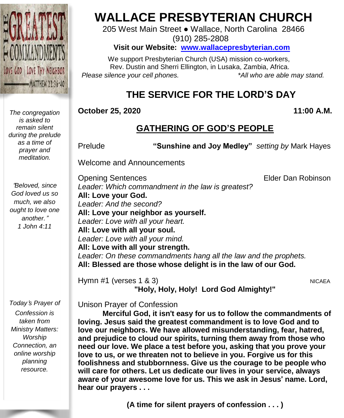

*The congregation is asked to remain silent during the prelude as a time of prayer and meditation.*

"*Beloved, since God loved us so much, we also ought to love one another.*" *1 John 4:11*

*Today*'*s Prayer of Confession is taken from Ministry Matters: Worship Connection, an online worship planning resource.*

# **WALLACE PRESBYTERIAN CHURCH**

205 West Main Street ● Wallace, North Carolina 28466 (910) 285-2808

**Visit our Website: [www.wallacepresbyterian.com](http://www.wallacepresbyterian.com/)**

 We support Presbyterian Church (USA) mission co-workers, Rev. Dustin and Sherri Ellington, in Lusaka, Zambia, Africa. *Please silence your cell phones. \*All who are able may stand.*

# **THE SERVICE FOR THE LORD'S DAY**

**October 25, 2020 11:00 A.M.**

# **GATHERING OF GOD'S PEOPLE**

Prelude **"Sunshine and Joy Medley"** *setting by* Mark Hayes

Welcome and Announcements

**Opening Sentences Elder Dan Robinson** *Leader: Which commandment in the law is greatest?* **All: Love your God.** *Leader: And the second?* **All: Love your neighbor as yourself.** *Leader: Love with all your heart.* **All: Love with all your soul.** *Leader: Love with all your mind.* **All: Love with all your strength.** *Leader: On these commandments hang all the law and the prophets.* **All: Blessed are those whose delight is in the law of our God.**

Hymn #1 (verses 1 & 3) NICAEA **"Holy, Holy, Holy! Lord God Almighty!"**

Unison Prayer of Confession

**Merciful God, it isn**'**t easy for us to follow the commandments of loving. Jesus said the greatest commandment is to love God and to love our neighbors. We have allowed misunderstanding, fear, hatred, and prejudice to cloud our spirits, turning them away from those who need our love. We place a test before you, asking that you prove your love to us, or we threaten not to believe in you. Forgive us for this foolishness and stubbornness. Give us the courage to be people who will care for others. Let us dedicate our lives in your service, always aware of your awesome love for us. This we ask in Jesus**' **name. Lord, hear our prayers . . .**

**(A time for silent prayers of confession . . . )**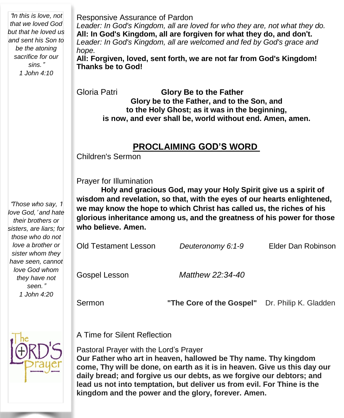"*In this is love, not that we loved God but that he loved us and sent his Son to be the atoning sacrifice for our sins.*" *1 John 4:10*

Responsive Assurance of Pardon *Leader: In God's Kingdom, all are loved for who they are, not what they do.* **All: In God's Kingdom, all are forgiven for what they do, and don**'**t.** *Leader: In God's Kingdom, all are welcomed and fed by God's grace and hope.* **All: Forgiven, loved, sent forth, we are not far from God's Kingdom!**

**Thanks be to God!**

Gloria Patri **Glory Be to the Father Glory be to the Father, and to the Son, and to the Holy Ghost; as it was in the beginning, is now, and ever shall be, world without end. Amen, amen.**

## **PROCLAIMING GOD'S WORD**

Children's Sermon

Prayer for Illumination

**Holy and gracious God, may your Holy Spirit give us a spirit of wisdom and revelation, so that, with the eyes of our hearts enlightened, we may know the hope to which Christ has called us, the riches of his glorious inheritance among us, and the greatness of his power for those who believe. Amen.**

Old Testament Lesson *Deuteronomy 6:1-9* Elder Dan Robinson Gospel Lesson *Matthew 22:34-40* Sermon **"The Core of the Gospel"** Dr. Philip K. Gladden

A Time for Silent Reflection

Pastoral Prayer with the Lord's Prayer

**Our Father who art in heaven, hallowed be Thy name. Thy kingdom come, Thy will be done, on earth as it is in heaven. Give us this day our daily bread; and forgive us our debts, as we forgive our debtors; and lead us not into temptation, but deliver us from evil. For Thine is the kingdom and the power and the glory, forever. Amen.**

*their brothers or sisters, are liars; for those who do not love a brother or sister whom they have seen, cannot love God whom they have not seen.*" *1 John 4:20*

"*Those who say,* '*I love God,*' *and hate*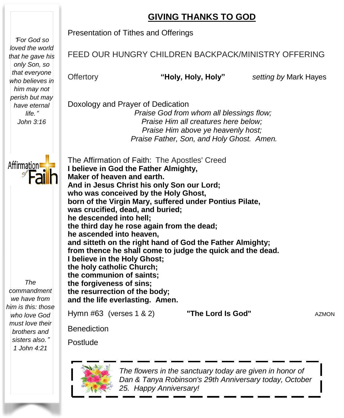# **GIVING THANKS TO GOD**

"*For God so loved the world that he gave his only Son, so that everyone who believes in him may not perish but may have eternal life.*" *John 3:16*

Affirmation<sup>®</sup>

Presentation of Tithes and Offerings

### FEED OUR HUNGRY CHILDREN BACKPACK/MINISTRY OFFERING

Offertory **"Holy, Holy, Holy"** *setting by* Mark Hayes

Doxology and Prayer of Dedication *Praise God from whom all blessings flow; Praise Him all creatures here below; Praise Him above ye heavenly host; Praise Father, Son, and Holy Ghost. Amen.*

 **I believe in God the Father Almighty, Maker of heaven and earth.** Benediction The Affirmation of Faith: The Apostles' Creed **And in Jesus Christ his only Son our Lord; who was conceived by the Holy Ghost, born of the Virgin Mary, suffered under Pontius Pilate, was crucified, dead, and buried; he descended into hell; the third day he rose again from the dead; he ascended into heaven, and sitteth on the right hand of God the Father Almighty; from thence he shall come to judge the quick and the dead. I believe in the Holy Ghost; the holy catholic Church; the communion of saints; the forgiveness of sins; the resurrection of the body; and the life everlasting. Amen.** Hymn #63 (verses 1 & 2) **"The Lord Is God"** AZMON

*The commandment we have from him is this: those who love God must love their brothers and sisters also.*" *1 John 4:21*



Postlude

 *The flowers in the sanctuary today are given in honor of Dan & Tanya Robinson's 29th Anniversary today, October 25. Happy Anniversary!*